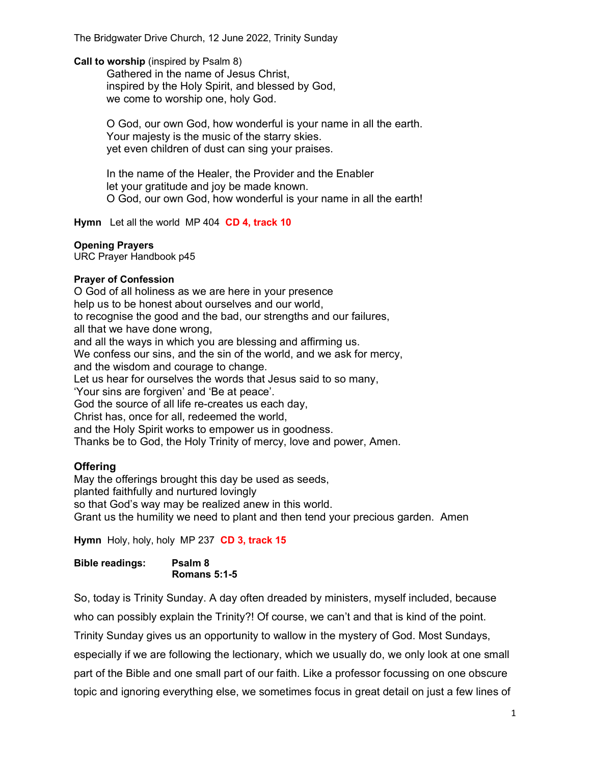Call to worship (inspired by Psalm 8)

Gathered in the name of Jesus Christ, inspired by the Holy Spirit, and blessed by God, we come to worship one, holy God.

O God, our own God, how wonderful is your name in all the earth. Your majesty is the music of the starry skies. yet even children of dust can sing your praises.

In the name of the Healer, the Provider and the Enabler let your gratitude and joy be made known. O God, our own God, how wonderful is your name in all the earth!

Hymn Let all the world MP 404 CD 4, track 10

### Opening Prayers

URC Prayer Handbook p45

## Prayer of Confession

O God of all holiness as we are here in your presence help us to be honest about ourselves and our world, to recognise the good and the bad, our strengths and our failures, all that we have done wrong, and all the ways in which you are blessing and affirming us. We confess our sins, and the sin of the world, and we ask for mercy, and the wisdom and courage to change. Let us hear for ourselves the words that Jesus said to so many, 'Your sins are forgiven' and 'Be at peace'. God the source of all life re-creates us each day, Christ has, once for all, redeemed the world, and the Holy Spirit works to empower us in goodness.

Thanks be to God, the Holy Trinity of mercy, love and power, Amen.

## **Offering**

May the offerings brought this day be used as seeds, planted faithfully and nurtured lovingly so that God's way may be realized anew in this world. Grant us the humility we need to plant and then tend your precious garden. Amen

Hymn Holy, holy, holy MP 237 CD 3, track 15

Bible readings: Psalm 8 Romans 5:1-5

So, today is Trinity Sunday. A day often dreaded by ministers, myself included, because who can possibly explain the Trinity?! Of course, we can't and that is kind of the point. Trinity Sunday gives us an opportunity to wallow in the mystery of God. Most Sundays, especially if we are following the lectionary, which we usually do, we only look at one small part of the Bible and one small part of our faith. Like a professor focussing on one obscure topic and ignoring everything else, we sometimes focus in great detail on just a few lines of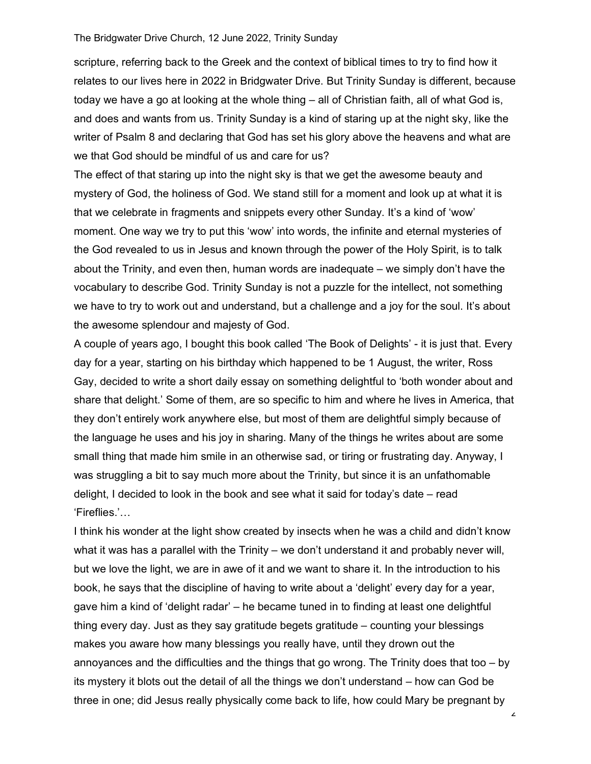scripture, referring back to the Greek and the context of biblical times to try to find how it relates to our lives here in 2022 in Bridgwater Drive. But Trinity Sunday is different, because today we have a go at looking at the whole thing – all of Christian faith, all of what God is, and does and wants from us. Trinity Sunday is a kind of staring up at the night sky, like the writer of Psalm 8 and declaring that God has set his glory above the heavens and what are we that God should be mindful of us and care for us?

The effect of that staring up into the night sky is that we get the awesome beauty and mystery of God, the holiness of God. We stand still for a moment and look up at what it is that we celebrate in fragments and snippets every other Sunday. It's a kind of 'wow' moment. One way we try to put this 'wow' into words, the infinite and eternal mysteries of the God revealed to us in Jesus and known through the power of the Holy Spirit, is to talk about the Trinity, and even then, human words are inadequate – we simply don't have the vocabulary to describe God. Trinity Sunday is not a puzzle for the intellect, not something we have to try to work out and understand, but a challenge and a joy for the soul. It's about the awesome splendour and majesty of God.

A couple of years ago, I bought this book called 'The Book of Delights' - it is just that. Every day for a year, starting on his birthday which happened to be 1 August, the writer, Ross Gay, decided to write a short daily essay on something delightful to 'both wonder about and share that delight.' Some of them, are so specific to him and where he lives in America, that they don't entirely work anywhere else, but most of them are delightful simply because of the language he uses and his joy in sharing. Many of the things he writes about are some small thing that made him smile in an otherwise sad, or tiring or frustrating day. Anyway, I was struggling a bit to say much more about the Trinity, but since it is an unfathomable delight, I decided to look in the book and see what it said for today's date – read 'Fireflies.'…

I think his wonder at the light show created by insects when he was a child and didn't know what it was has a parallel with the Trinity – we don't understand it and probably never will, but we love the light, we are in awe of it and we want to share it. In the introduction to his book, he says that the discipline of having to write about a 'delight' every day for a year, gave him a kind of 'delight radar' – he became tuned in to finding at least one delightful thing every day. Just as they say gratitude begets gratitude – counting your blessings makes you aware how many blessings you really have, until they drown out the annoyances and the difficulties and the things that go wrong. The Trinity does that too – by its mystery it blots out the detail of all the things we don't understand – how can God be three in one; did Jesus really physically come back to life, how could Mary be pregnant by

2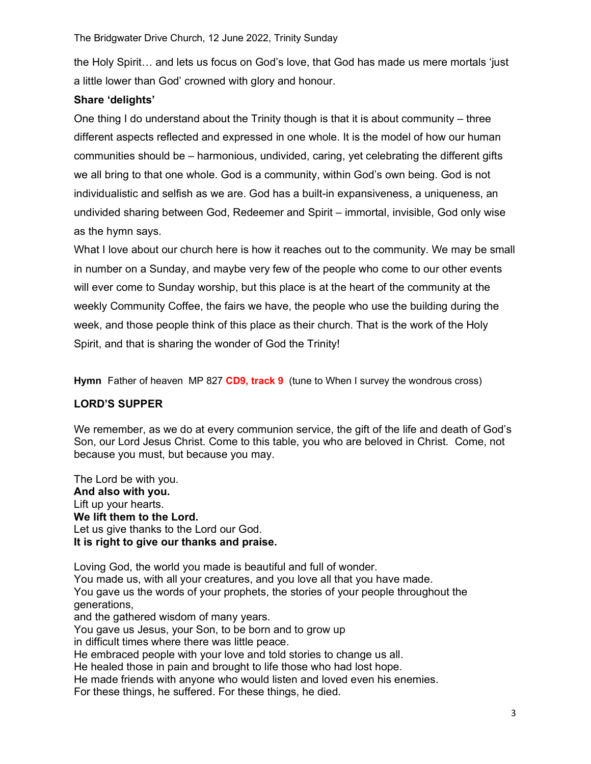the Holy Spirit… and lets us focus on God's love, that God has made us mere mortals 'just a little lower than God' crowned with glory and honour.

# Share 'delights'

One thing I do understand about the Trinity though is that it is about community  $-$  three different aspects reflected and expressed in one whole. It is the model of how our human communities should be – harmonious, undivided, caring, yet celebrating the different gifts we all bring to that one whole. God is a community, within God's own being. God is not individualistic and selfish as we are. God has a built-in expansiveness, a uniqueness, an undivided sharing between God, Redeemer and Spirit – immortal, invisible, God only wise as the hymn says.

What I love about our church here is how it reaches out to the community. We may be small in number on a Sunday, and maybe very few of the people who come to our other events will ever come to Sunday worship, but this place is at the heart of the community at the weekly Community Coffee, the fairs we have, the people who use the building during the week, and those people think of this place as their church. That is the work of the Holy Spirit, and that is sharing the wonder of God the Trinity!

Hymn Father of heaven MP 827 CD9, track 9 (tune to When I survey the wondrous cross)

# LORD'S SUPPER

We remember, as we do at every communion service, the gift of the life and death of God's Son, our Lord Jesus Christ. Come to this table, you who are beloved in Christ. Come, not because you must, but because you may.

The Lord be with you. And also with you. Lift up your hearts. We lift them to the Lord. Let us give thanks to the Lord our God. It is right to give our thanks and praise.

Loving God, the world you made is beautiful and full of wonder. You made us, with all your creatures, and you love all that you have made. You gave us the words of your prophets, the stories of your people throughout the generations, and the gathered wisdom of many years. You gave us Jesus, your Son, to be born and to grow up in difficult times where there was little peace. He embraced people with your love and told stories to change us all. He healed those in pain and brought to life those who had lost hope. He made friends with anyone who would listen and loved even his enemies.

For these things, he suffered. For these things, he died.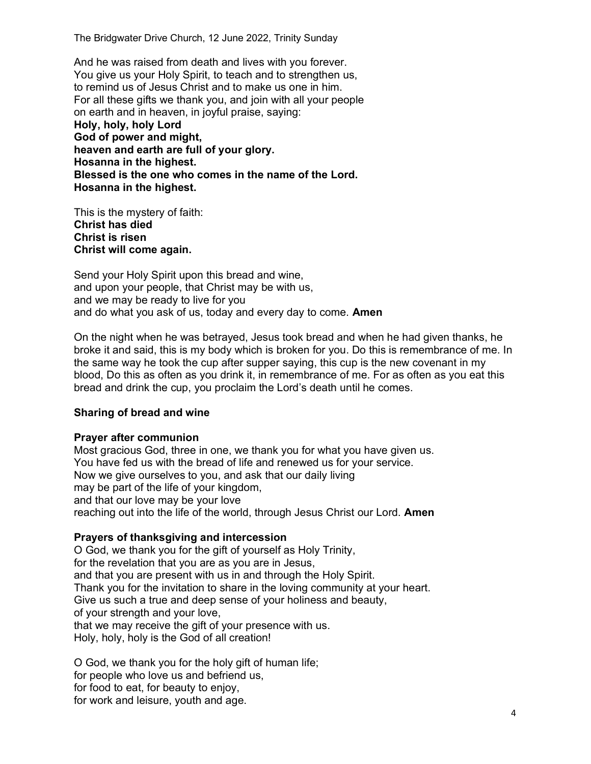And he was raised from death and lives with you forever. You give us your Holy Spirit, to teach and to strengthen us, to remind us of Jesus Christ and to make us one in him. For all these gifts we thank you, and join with all your people on earth and in heaven, in joyful praise, saying: Holy, holy, holy Lord God of power and might, heaven and earth are full of your glory. Hosanna in the highest. Blessed is the one who comes in the name of the Lord. Hosanna in the highest.

This is the mystery of faith: Christ has died Christ is risen Christ will come again.

Send your Holy Spirit upon this bread and wine, and upon your people, that Christ may be with us, and we may be ready to live for you and do what you ask of us, today and every day to come. **Amen** 

On the night when he was betrayed, Jesus took bread and when he had given thanks, he broke it and said, this is my body which is broken for you. Do this is remembrance of me. In the same way he took the cup after supper saying, this cup is the new covenant in my blood, Do this as often as you drink it, in remembrance of me. For as often as you eat this bread and drink the cup, you proclaim the Lord's death until he comes.

### Sharing of bread and wine

#### Prayer after communion

Most gracious God, three in one, we thank you for what you have given us. You have fed us with the bread of life and renewed us for your service. Now we give ourselves to you, and ask that our daily living may be part of the life of your kingdom, and that our love may be your love reaching out into the life of the world, through Jesus Christ our Lord. Amen

### Prayers of thanksgiving and intercession

O God, we thank you for the gift of yourself as Holy Trinity, for the revelation that you are as you are in Jesus, and that you are present with us in and through the Holy Spirit. Thank you for the invitation to share in the loving community at your heart. Give us such a true and deep sense of your holiness and beauty, of your strength and your love, that we may receive the gift of your presence with us. Holy, holy, holy is the God of all creation!

O God, we thank you for the holy gift of human life; for people who love us and befriend us, for food to eat, for beauty to enjoy, for work and leisure, youth and age.